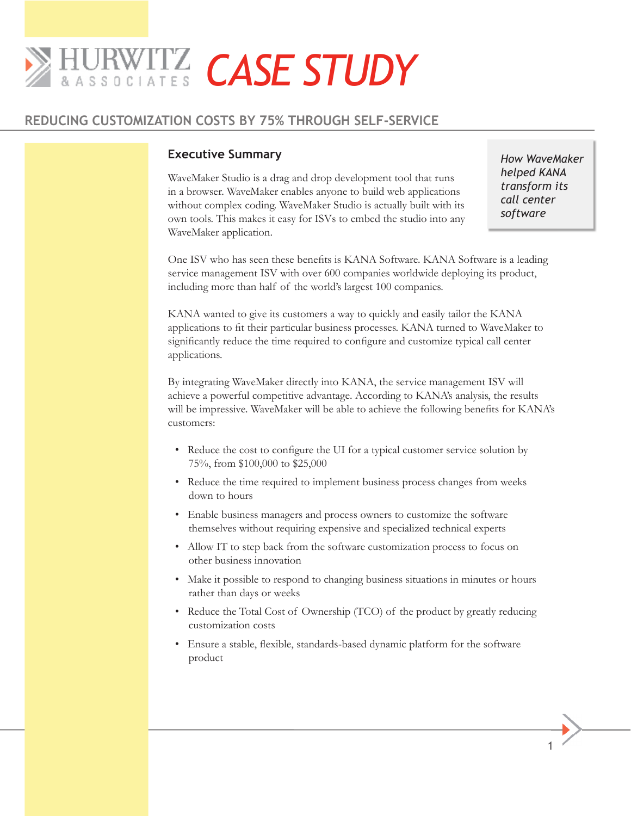# *CASE STUDY*

# **REDUCING CUSTOMIZATION COSTS BY 75% THROUGH SELF-SERVICE**

# **Executive Summary**

WaveMaker Studio is a drag and drop development tool that runs in a browser. WaveMaker enables anyone to build web applications without complex coding. WaveMaker Studio is actually built with its own tools. This makes it easy for ISVs to embed the studio into any WaveMaker application.

*How WaveMaker helped KANA transform its call center software*

One ISV who has seen these benefits is KANA Software. KANA Software is a leading service management ISV with over 600 companies worldwide deploying its product, including more than half of the world's largest 100 companies.

KANA wanted to give its customers a way to quickly and easily tailor the KANA applications to fit their particular business processes. KANA turned to WaveMaker to significantly reduce the time required to configure and customize typical call center applications.

By integrating WaveMaker directly into KANA, the service management ISV will achieve a powerful competitive advantage. According to KANA's analysis, the results will be impressive. WaveMaker will be able to achieve the following benefits for KANA's customers:

- Reduce the cost to configure the UI for a typical customer service solution by 75%, from \$100,000 to \$25,000
- Reduce the time required to implement business process changes from weeks down to hours
- Enable business managers and process owners to customize the software themselves without requiring expensive and specialized technical experts
- Allow IT to step back from the software customization process to focus on other business innovation
- Make it possible to respond to changing business situations in minutes or hours rather than days or weeks
- Reduce the Total Cost of Ownership (TCO) of the product by greatly reducing customization costs
- Ensure a stable, flexible, standards-based dynamic platform for the software product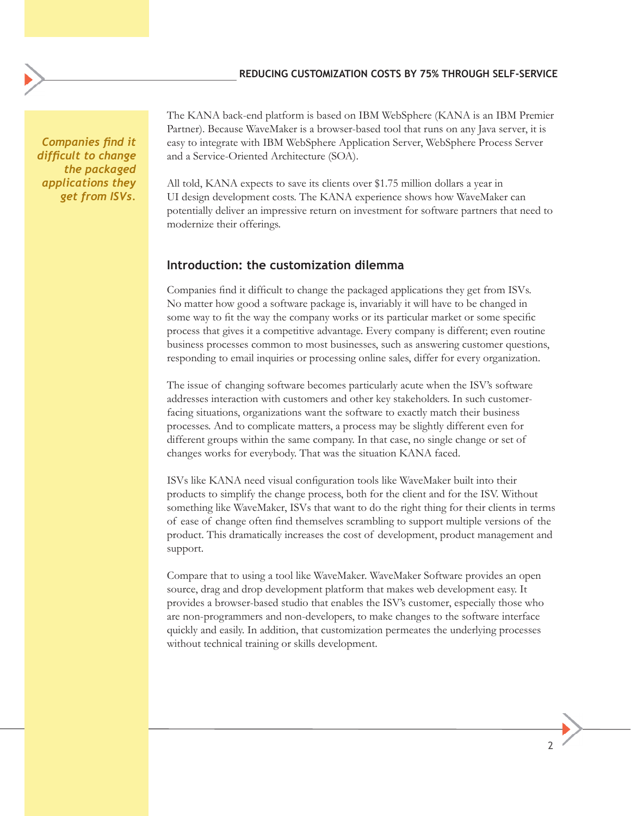*Companies find it difficult to change the packaged applications they get from ISVs.*

The KANA back-end platform is based on IBM WebSphere (KANA is an IBM Premier Partner). Because WaveMaker is a browser-based tool that runs on any Java server, it is easy to integrate with IBM WebSphere Application Server, WebSphere Process Server and a Service-Oriented Architecture (SOA).

All told, KANA expects to save its clients over \$1.75 million dollars a year in UI design development costs. The KANA experience shows how WaveMaker can potentially deliver an impressive return on investment for software partners that need to modernize their offerings.

#### **Introduction: the customization dilemma**

Companies find it difficult to change the packaged applications they get from ISVs. No matter how good a software package is, invariably it will have to be changed in some way to fit the way the company works or its particular market or some specific process that gives it a competitive advantage. Every company is different; even routine business processes common to most businesses, such as answering customer questions, responding to email inquiries or processing online sales, differ for every organization.

The issue of changing software becomes particularly acute when the ISV's software addresses interaction with customers and other key stakeholders. In such customerfacing situations, organizations want the software to exactly match their business processes. And to complicate matters, a process may be slightly different even for different groups within the same company. In that case, no single change or set of changes works for everybody. That was the situation KANA faced.

ISVs like KANA need visual configuration tools like WaveMaker built into their products to simplify the change process, both for the client and for the ISV. Without something like WaveMaker, ISVs that want to do the right thing for their clients in terms of ease of change often find themselves scrambling to support multiple versions of the product. This dramatically increases the cost of development, product management and support.

Compare that to using a tool like WaveMaker. WaveMaker Software provides an open source, drag and drop development platform that makes web development easy. It provides a browser-based studio that enables the ISV's customer, especially those who are non-programmers and non-developers, to make changes to the software interface quickly and easily. In addition, that customization permeates the underlying processes without technical training or skills development.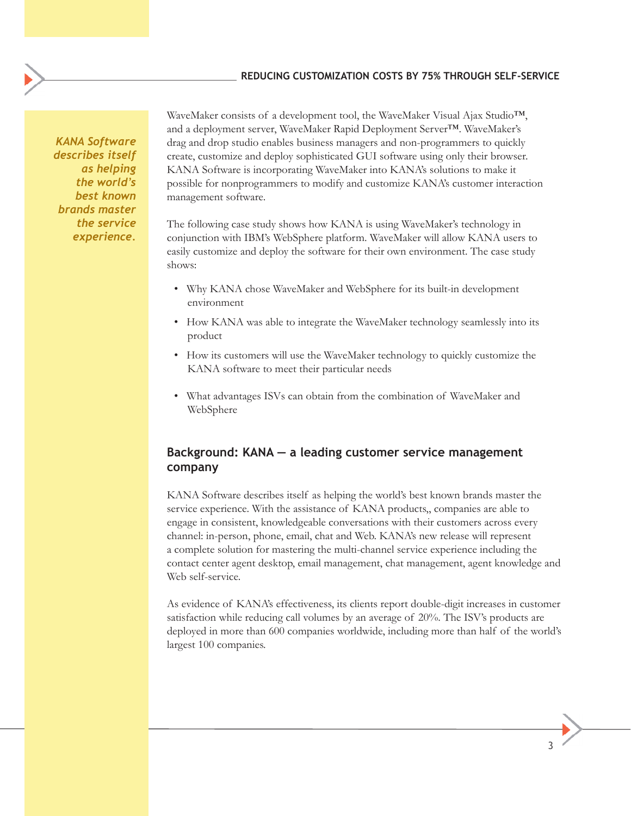*KANA Software describes itself as helping the world's best known brands master the service experience.*

WaveMaker consists of a development tool, the WaveMaker Visual Ajax Studio<sup>™</sup>, and a deployment server, WaveMaker Rapid Deployment Server™. WaveMaker's drag and drop studio enables business managers and non-programmers to quickly create, customize and deploy sophisticated GUI software using only their browser. KANA Software is incorporating WaveMaker into KANA's solutions to make it possible for nonprogrammers to modify and customize KANA's customer interaction management software.

The following case study shows how KANA is using WaveMaker's technology in conjunction with IBM's WebSphere platform. WaveMaker will allow KANA users to easily customize and deploy the software for their own environment. The case study shows:

- Why KANA chose WaveMaker and WebSphere for its built-in development environment
- How KANA was able to integrate the WaveMaker technology seamlessly into its product
- How its customers will use the WaveMaker technology to quickly customize the KANA software to meet their particular needs
- What advantages ISVs can obtain from the combination of WaveMaker and WebSphere

# **Background: KANA — a leading customer service management company**

KANA Software describes itself as helping the world's best known brands master the service experience. With the assistance of KANA products,, companies are able to engage in consistent, knowledgeable conversations with their customers across every channel: in-person, phone, email, chat and Web. KANA's new release will represent a complete solution for mastering the multi-channel service experience including the contact center agent desktop, email management, chat management, agent knowledge and Web self-service.

As evidence of KANA's effectiveness, its clients report double-digit increases in customer satisfaction while reducing call volumes by an average of 20%. The ISV's products are deployed in more than 600 companies worldwide, including more than half of the world's largest 100 companies.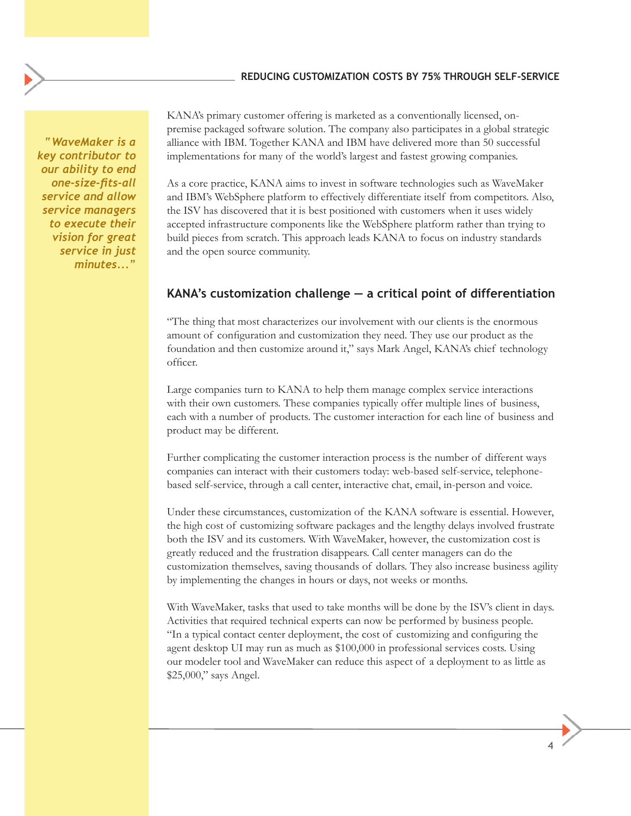*"WaveMaker is a key contributor to our ability to end one-size-fits-all service and allow service managers to execute their vision for great service in just minutes..."*

KANA's primary customer offering is marketed as a conventionally licensed, onpremise packaged software solution. The company also participates in a global strategic alliance with IBM. Together KANA and IBM have delivered more than 50 successful implementations for many of the world's largest and fastest growing companies.

As a core practice, KANA aims to invest in software technologies such as WaveMaker and IBM's WebSphere platform to effectively differentiate itself from competitors. Also, the ISV has discovered that it is best positioned with customers when it uses widely accepted infrastructure components like the WebSphere platform rather than trying to build pieces from scratch. This approach leads KANA to focus on industry standards and the open source community.

# **KANA's customization challenge — a critical point of differentiation**

"The thing that most characterizes our involvement with our clients is the enormous amount of configuration and customization they need. They use our product as the foundation and then customize around it," says Mark Angel, KANA's chief technology officer.

Large companies turn to KANA to help them manage complex service interactions with their own customers. These companies typically offer multiple lines of business, each with a number of products. The customer interaction for each line of business and product may be different.

Further complicating the customer interaction process is the number of different ways companies can interact with their customers today: web-based self-service, telephonebased self-service, through a call center, interactive chat, email, in-person and voice.

Under these circumstances, customization of the KANA software is essential. However, the high cost of customizing software packages and the lengthy delays involved frustrate both the ISV and its customers. With WaveMaker, however, the customization cost is greatly reduced and the frustration disappears. Call center managers can do the customization themselves, saving thousands of dollars. They also increase business agility by implementing the changes in hours or days, not weeks or months.

With WaveMaker, tasks that used to take months will be done by the ISV's client in days. Activities that required technical experts can now be performed by business people. "In a typical contact center deployment, the cost of customizing and configuring the agent desktop UI may run as much as \$100,000 in professional services costs. Using our modeler tool and WaveMaker can reduce this aspect of a deployment to as little as \$25,000," says Angel.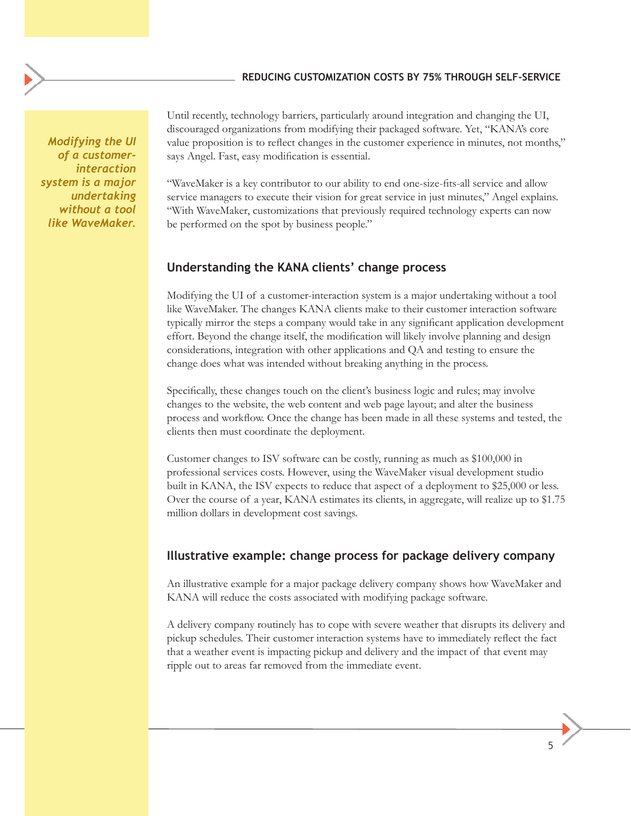*Modifying the UI of a customerinteraction system is a major undertaking without a tool like WaveMaker.* 

Until recently, technology barriers, particularly around integration and changing the UI, discouraged organizations from modifying their packaged software. Yet, "KANA's core value proposition is to reflect changes in the customer experience in minutes, not months," says Angel. Fast, easy modification is essential.

"WaveMaker is a key contributor to our ability to end one-size-fits-all service and allow service managers to execute their vision for great service in just minutes," Angel explains. "With WaveMaker, customizations that previously required technology experts can now be performed on the spot by business people."

# **Understanding the KANA clients' change process**

Modifying the UI of a customer-interaction system is a major undertaking without a tool like WaveMaker. The changes KANA clients make to their customer interaction software typically mirror the steps a company would take in any significant application development effort. Beyond the change itself, the modification will likely involve planning and design considerations, integration with other applications and QA and testing to ensure the change does what was intended without breaking anything in the process.

Specifically, these changes touch on the client's business logic and rules; may involve changes to the website, the web content and web page layout; and alter the business process and workflow. Once the change has been made in all these systems and tested, the clients then must coordinate the deployment.

Customer changes to ISV software can be costly, running as much as \$100,000 in professional services costs. However, using the WaveMaker visual development studio built in KANA, the ISV expects to reduce that aspect of a deployment to \$25,000 or less. Over the course of a year, KANA estimates its clients, in aggregate, will realize up to \$1.75 million dollars in development cost savings.

# **Illustrative example: change process for package delivery company**

An illustrative example for a major package delivery company shows how WaveMaker and KANA will reduce the costs associated with modifying package software.

A delivery company routinely has to cope with severe weather that disrupts its delivery and pickup schedules. Their customer interaction systems have to immediately reflect the fact that a weather event is impacting pickup and delivery and the impact of that event may ripple out to areas far removed from the immediate event.

the contract of the contract of the contract of the contract of the contract of the contract of the contract of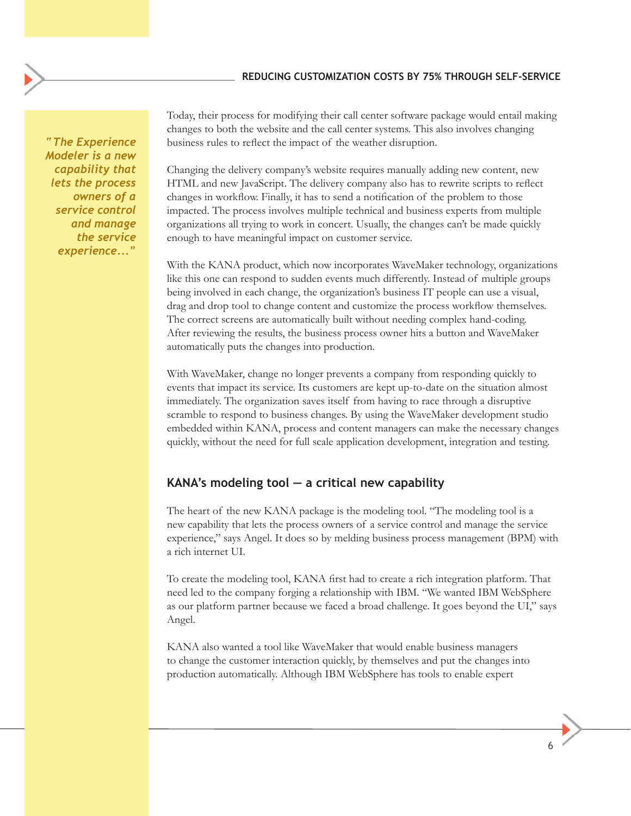*"The Experience Modeler is a new capability that lets the process owners of a service control and manage the service experience..."* 

Today, their process for modifying their call center software package would entail making changes to both the website and the call center systems. This also involves changing business rules to reflect the impact of the weather disruption.

Changing the delivery company's website requires manually adding new content, new HTML and new JavaScript. The delivery company also has to rewrite scripts to reflect changes in workflow. Finally, it has to send a notification of the problem to those impacted. The process involves multiple technical and business experts from multiple organizations all trying to work in concert. Usually, the changes can't be made quickly enough to have meaningful impact on customer service.

With the KANA product, which now incorporates WaveMaker technology, organizations like this one can respond to sudden events much differently. Instead of multiple groups being involved in each change, the organization's business IT people can use a visual, drag and drop tool to change content and customize the process workflow themselves. The correct screens are automatically built without needing complex hand-coding. After reviewing the results, the business process owner hits a button and WaveMaker automatically puts the changes into production.

With WaveMaker, change no longer prevents a company from responding quickly to events that impact its service. Its customers are kept up-to-date on the situation almost immediately. The organization saves itself from having to race through a disruptive scramble to respond to business changes. By using the WaveMaker development studio embedded within KANA, process and content managers can make the necessary changes quickly, without the need for full scale application development, integration and testing.

# **KANA's modeling tool — a critical new capability**

The heart of the new KANA package is the modeling tool. "The modeling tool is a new capability that lets the process owners of a service control and manage the service experience," says Angel. It does so by melding business process management (BPM) with a rich internet UI.

To create the modeling tool, KANA first had to create a rich integration platform. That need led to the company forging a relationship with IBM. "We wanted IBM WebSphere as our platform partner because we faced a broad challenge. It goes beyond the UI," says Angel.

KANA also wanted a tool like WaveMaker that would enable business managers to change the customer interaction quickly, by themselves and put the changes into production automatically. Although IBM WebSphere has tools to enable expert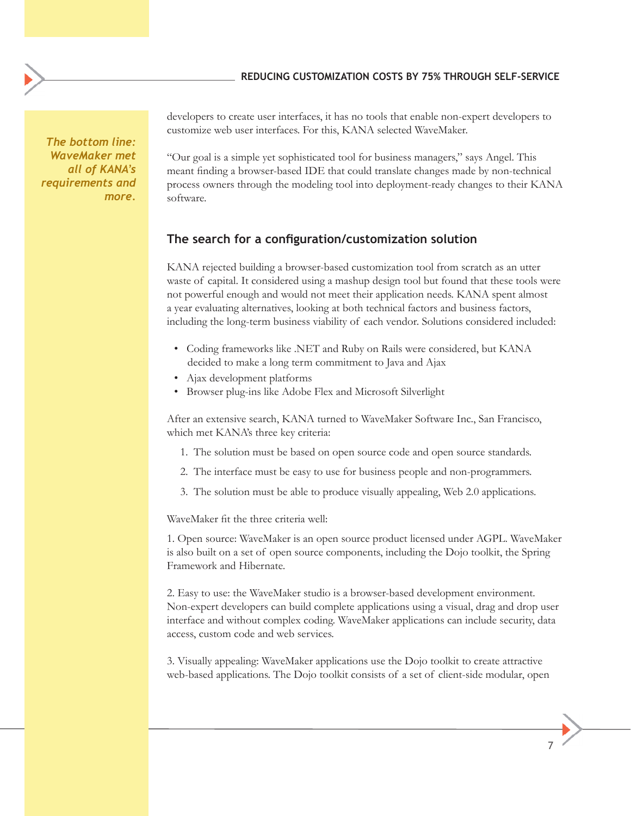*The bottom line: WaveMaker met all of KANA's requirements and more.* 

developers to create user interfaces, it has no tools that enable non-expert developers to customize web user interfaces. For this, KANA selected WaveMaker.

"Our goal is a simple yet sophisticated tool for business managers," says Angel. This meant finding a browser-based IDE that could translate changes made by non-technical process owners through the modeling tool into deployment-ready changes to their KANA software.

## **The search for a configuration/customization solution**

KANA rejected building a browser-based customization tool from scratch as an utter waste of capital. It considered using a mashup design tool but found that these tools were not powerful enough and would not meet their application needs. KANA spent almost a year evaluating alternatives, looking at both technical factors and business factors, including the long-term business viability of each vendor. Solutions considered included:

- Coding frameworks like .NET and Ruby on Rails were considered, but KANA decided to make a long term commitment to Java and Ajax
- Ajax development platforms
- Browser plug-ins like Adobe Flex and Microsoft Silverlight

After an extensive search, KANA turned to WaveMaker Software Inc., San Francisco, which met KANA's three key criteria:

- 1. The solution must be based on open source code and open source standards.
- 2. The interface must be easy to use for business people and non-programmers.
- 3. The solution must be able to produce visually appealing, Web 2.0 applications.

WaveMaker fit the three criteria well:

1. Open source: WaveMaker is an open source product licensed under AGPL. WaveMaker is also built on a set of open source components, including the Dojo toolkit, the Spring Framework and Hibernate.

2. Easy to use: the WaveMaker studio is a browser-based development environment. Non-expert developers can build complete applications using a visual, drag and drop user interface and without complex coding. WaveMaker applications can include security, data access, custom code and web services.

3. Visually appealing: WaveMaker applications use the Dojo toolkit to create attractive web-based applications. The Dojo toolkit consists of a set of client-side modular, open

<u>7</u> The contract of the contract of the contract of the contract of the contract of the contract of the contract of the contract of the contract of the contract of the contract of the contract of the contract of the contra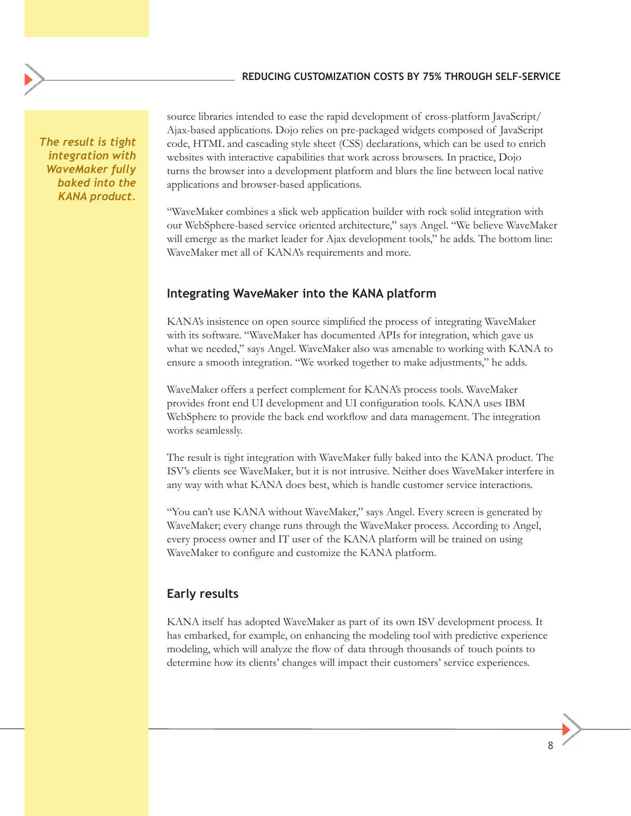*The result is tight integration with WaveMaker fully baked into the KANA product.*  source libraries intended to ease the rapid development of cross-platform JavaScript/ Ajax-based applications. Dojo relies on pre-packaged widgets composed of JavaScript code, HTML and cascading style sheet (CSS) declarations, which can be used to enrich websites with interactive capabilities that work across browsers. In practice, Dojo turns the browser into a development platform and blurs the line between local native applications and browser-based applications.

"WaveMaker combines a slick web application builder with rock solid integration with our WebSphere-based service oriented architecture," says Angel. "We believe WaveMaker will emerge as the market leader for Ajax development tools," he adds. The bottom line: WaveMaker met all of KANA's requirements and more.

# **Integrating WaveMaker into the KANA platform**

KANA's insistence on open source simplified the process of integrating WaveMaker with its software. "WaveMaker has documented APIs for integration, which gave us what we needed," says Angel. WaveMaker also was amenable to working with KANA to ensure a smooth integration. "We worked together to make adjustments," he adds.

WaveMaker offers a perfect complement for KANA's process tools. WaveMaker provides front end UI development and UI configuration tools. KANA uses IBM WebSphere to provide the back end workflow and data management. The integration works seamlessly.

The result is tight integration with WaveMaker fully baked into the KANA product. The ISV's clients see WaveMaker, but it is not intrusive. Neither does WaveMaker interfere in any way with what KANA does best, which is handle customer service interactions.

"You can't use KANA without WaveMaker," says Angel. Every screen is generated by WaveMaker; every change runs through the WaveMaker process. According to Angel, every process owner and IT user of the KANA platform will be trained on using WaveMaker to configure and customize the KANA platform.

# **Early results**

KANA itself has adopted WaveMaker as part of its own ISV development process. It has embarked, for example, on enhancing the modeling tool with predictive experience modeling, which will analyze the flow of data through thousands of touch points to determine how its clients' changes will impact their customers' service experiences.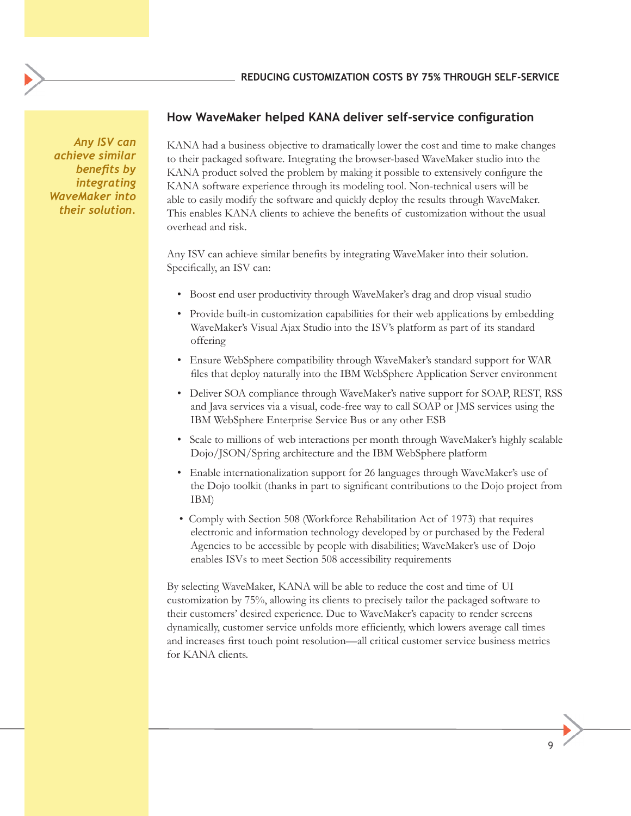*Any ISV can achieve similar benefits by integrating WaveMaker into their solution.* 

# **How WaveMaker helped KANA deliver self-service configuration**

KANA had a business objective to dramatically lower the cost and time to make changes to their packaged software. Integrating the browser-based WaveMaker studio into the KANA product solved the problem by making it possible to extensively configure the KANA software experience through its modeling tool. Non-technical users will be able to easily modify the software and quickly deploy the results through WaveMaker. This enables KANA clients to achieve the benefits of customization without the usual overhead and risk.

Any ISV can achieve similar benefits by integrating WaveMaker into their solution. Specifically, an ISV can:

- Boost end user productivity through WaveMaker's drag and drop visual studio
- Provide built-in customization capabilities for their web applications by embedding WaveMaker's Visual Ajax Studio into the ISV's platform as part of its standard offering
- Ensure WebSphere compatibility through WaveMaker's standard support for WAR files that deploy naturally into the IBM WebSphere Application Server environment
- Deliver SOA compliance through WaveMaker's native support for SOAP, REST, RSS and Java services via a visual, code-free way to call SOAP or JMS services using the IBM WebSphere Enterprise Service Bus or any other ESB
- Scale to millions of web interactions per month through WaveMaker's highly scalable Dojo/JSON/Spring architecture and the IBM WebSphere platform
- Enable internationalization support for 26 languages through WaveMaker's use of the Dojo toolkit (thanks in part to significant contributions to the Dojo project from IBM)
- Comply with Section 508 (Workforce Rehabilitation Act of 1973) that requires electronic and information technology developed by or purchased by the Federal Agencies to be accessible by people with disabilities; WaveMaker's use of Dojo enables ISVs to meet Section 508 accessibility requirements

By selecting WaveMaker, KANA will be able to reduce the cost and time of UI customization by 75%, allowing its clients to precisely tailor the packaged software to their customers' desired experience. Due to WaveMaker's capacity to render screens dynamically, customer service unfolds more efficiently, which lowers average call times and increases first touch point resolution—all critical customer service business metrics for KANA clients.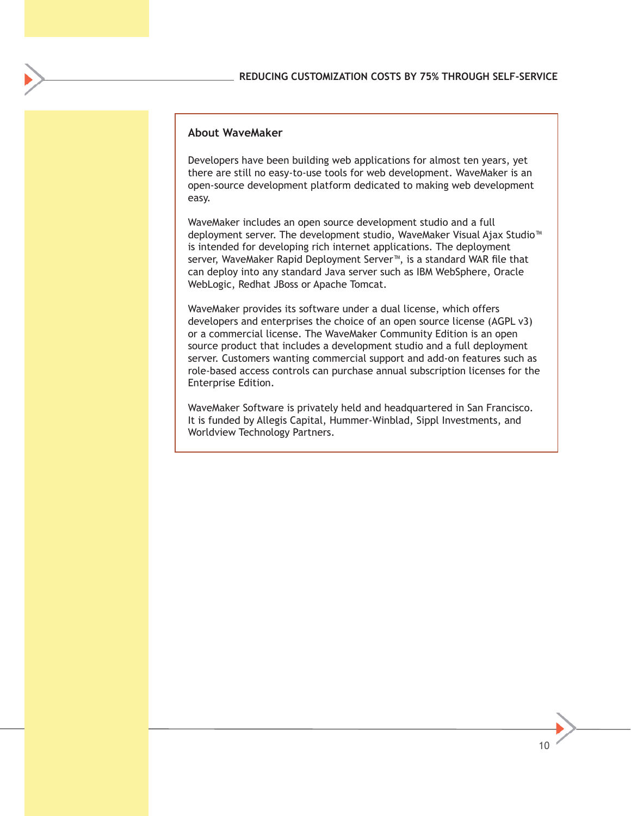## **About WaveMaker**

Developers have been building web applications for almost ten years, yet there are still no easy-to-use tools for web development. WaveMaker is an open-source development platform dedicated to making web development easy.

WaveMaker includes an open source development studio and a full deployment server. The development studio, WaveMaker Visual Ajax Studio™ is intended for developing rich internet applications. The deployment server, WaveMaker Rapid Deployment Server™, is a standard WAR file that can deploy into any standard Java server such as IBM WebSphere, Oracle WebLogic, Redhat JBoss or Apache Tomcat.

WaveMaker provides its software under a dual license, which offers developers and enterprises the choice of an open source license (AGPL v3) or a commercial license. The WaveMaker Community Edition is an open source product that includes a development studio and a full deployment server. Customers wanting commercial support and add-on features such as role-based access controls can purchase annual subscription licenses for the Enterprise Edition.

WaveMaker Software is privately held and headquartered in San Francisco. It is funded by Allegis Capital, Hummer-Winblad, Sippl Investments, and Worldview Technology Partners.